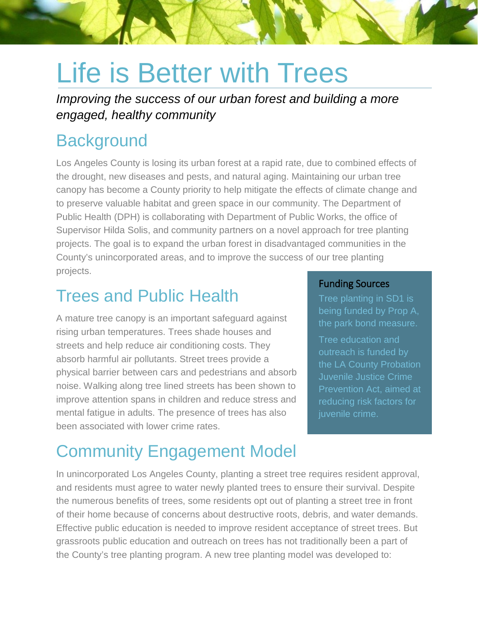# Life is Better with Trees

*Improving the success of our urban forest and building a more engaged, healthy community*

### **Background**

Los Angeles County is losing its urban forest at a rapid rate, due to combined effects of the drought, new diseases and pests, and natural aging. Maintaining our urban tree canopy has become a County priority to help mitigate the effects of climate change and to preserve valuable habitat and green space in our community. The Department of Public Health (DPH) is collaborating with Department of Public Works, the office of Supervisor Hilda Solis, and community partners on a novel approach for tree planting projects. The goal is to expand the urban forest in disadvantaged communities in the County's unincorporated areas, and to improve the success of our tree planting projects.

### Trees and Public Health

A mature tree canopy is an important safeguard against rising urban temperatures. Trees shade houses and streets and help reduce air conditioning costs. They absorb harmful air pollutants. Street trees provide a physical barrier between cars and pedestrians and absorb noise. Walking along tree lined streets has been shown to improve attention spans in children and reduce stress and mental fatigue in adults. The presence of trees has also been associated with lower crime rates.

#### Funding Sources

Tree planting in SD1 is being funded by Prop A, the park bond measure.

Tree education and outreach is funded by the LA County Probation Juvenile Justice Crime Prevention Act, aimed at reducing risk factors for

## Community Engagement Model

In unincorporated Los Angeles County, planting a street tree requires resident approval, and residents must agree to water newly planted trees to ensure their survival. Despite the numerous benefits of trees, some residents opt out of planting a street tree in front of their home because of concerns about destructive roots, debris, and water demands. Effective public education is needed to improve resident acceptance of street trees. But grassroots public education and outreach on trees has not traditionally been a part of the County's tree planting program. A new tree planting model was developed to: